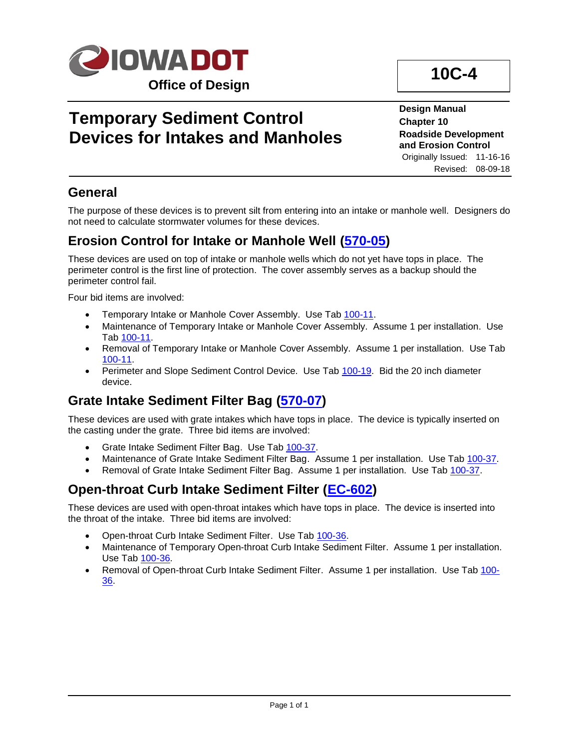

# **Temporary Sediment Control Devices for Intakes and Manholes**

**Design Manual Chapter 10 Roadside Development and Erosion Control**

**10C-4**

Originally Issued: 11-16-16 Revised: 08-09-18

### **General**

The purpose of these devices is to prevent silt from entering into an intake or manhole well. Designers do not need to calculate stormwater volumes for these devices.

### **Erosion Control for Intake or Manhole Well [\(570-05\)](../tnt/PDFsandWebFiles/IndividualPDFs/0570-05.pdf)**

These devices are used on top of intake or manhole wells which do not yet have tops in place. The perimeter control is the first line of protection. The cover assembly serves as a backup should the perimeter control fail.

Four bid items are involved:

- Temporary Intake or Manhole Cover Assembly. Use Ta[b 100-11.](../tnt/PDFsandWebFiles/IndividualPDFs/0100-11.pdf)
- Maintenance of Temporary Intake or Manhole Cover Assembly. Assume 1 per installation. Use Tab [100-11.](../tnt/PDFsandWebFiles/IndividualPDFs/0100-11.pdf)
- Removal of Temporary Intake or Manhole Cover Assembly. Assume 1 per installation. Use Tab [100-11.](../tnt/PDFsandWebFiles/IndividualPDFs/0100-11.pdf)
- Perimeter and Slope Sediment Control Device. Use Tab [100-19.](../tnt/PDFsandWebFiles/IndividualPDFs/0100-19.pdf) Bid the 20 inch diameter device.

## **Grate Intake Sediment Filter Bag [\(570-07\)](../tnt/PDFsandWebFiles/IndividualPDFs/0570-07.pdf)**

These devices are used with grate intakes which have tops in place. The device is typically inserted on the casting under the grate. Three bid items are involved:

- Grate Intake Sediment Filter Bag. Use Tab [100-37.](../tnt/PDFsandWebFiles/IndividualPDFs/0100-37.PDF)
- Maintenance of Grate Intake Sediment Filter Bag. Assume 1 per installation. Use Tab [100-37.](../tnt/PDFsandWebFiles/IndividualPDFs/0100-37.PDF)
- Removal of Grate Intake Sediment Filter Bag. Assume 1 per installation. Use Tab [100-37.](../tnt/PDFsandWebFiles/IndividualPDFs/0100-37.PDF)

#### **Open-throat Curb Intake Sediment Filter [\(EC-602\)](../SRP/IndividualStandards/ec602.pdf)**

These devices are used with open-throat intakes which have tops in place. The device is inserted into the throat of the intake. Three bid items are involved:

- Open-throat Curb Intake Sediment Filter. Use Tab [100-36.](../tnt/PDFsandWebFiles/IndividualPDFs/0100-36.PDF)
- Maintenance of Temporary Open-throat Curb Intake Sediment Filter. Assume 1 per installation. Use Tab [100-36.](../tnt/PDFsandWebFiles/IndividualPDFs/0100-36.PDF)
- Removal of Open-throat Curb Intake Sediment Filter. Assume 1 per installation. Use Tab [100-](../tnt/PDFsandWebFiles/IndividualPDFs/0100-36.PDF) [36.](../tnt/PDFsandWebFiles/IndividualPDFs/0100-36.PDF)